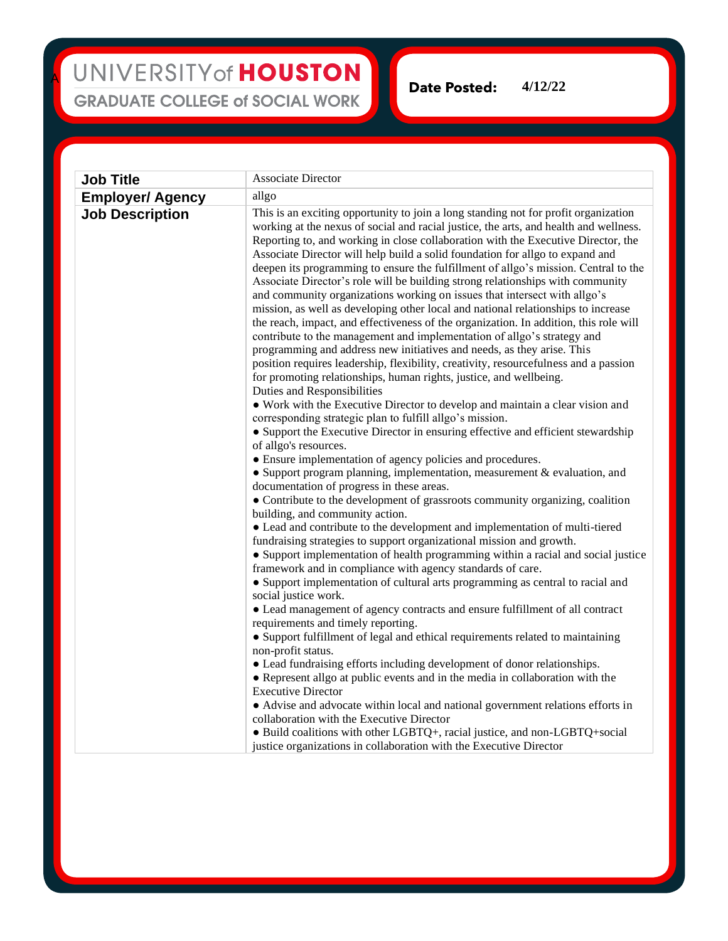## UNIVERSITY of HOUSTON **GRADUATE COLLEGE of SOCIAL WORK**

A

**4/12/22**Date Posted:

**Job Title** Associate Director **Employer/ Agency** allgo **Job Description** This is an exciting opportunity to join a long standing not for profit organization working at the nexus of social and racial justice, the arts, and health and wellness. Reporting to, and working in close collaboration with the Executive Director, the Associate Director will help build a solid foundation for allgo to expand and deepen its programming to ensure the fulfillment of allgo's mission. Central to the Associate Director's role will be building strong relationships with community and community organizations working on issues that intersect with allgo's mission, as well as developing other local and national relationships to increase the reach, impact, and effectiveness of the organization. In addition, this role will contribute to the management and implementation of allgo's strategy and programming and address new initiatives and needs, as they arise. This position requires leadership, flexibility, creativity, resourcefulness and a passion for promoting relationships, human rights, justice, and wellbeing. Duties and Responsibilities ● Work with the Executive Director to develop and maintain a clear vision and corresponding strategic plan to fulfill allgo's mission. ● Support the Executive Director in ensuring effective and efficient stewardship of allgo's resources. ● Ensure implementation of agency policies and procedures. ● Support program planning, implementation, measurement & evaluation, and documentation of progress in these areas. ● Contribute to the development of grassroots community organizing, coalition building, and community action. ● Lead and contribute to the development and implementation of multi-tiered fundraising strategies to support organizational mission and growth. ● Support implementation of health programming within a racial and social justice framework and in compliance with agency standards of care. ● Support implementation of cultural arts programming as central to racial and social justice work. ● Lead management of agency contracts and ensure fulfillment of all contract requirements and timely reporting. ● Support fulfillment of legal and ethical requirements related to maintaining non-profit status. ● Lead fundraising efforts including development of donor relationships. ● Represent allgo at public events and in the media in collaboration with the Executive Director ● Advise and advocate within local and national government relations efforts in collaboration with the Executive Director ● Build coalitions with other LGBTQ+, racial justice, and non-LGBTQ+social justice organizations in collaboration with the Executive Director